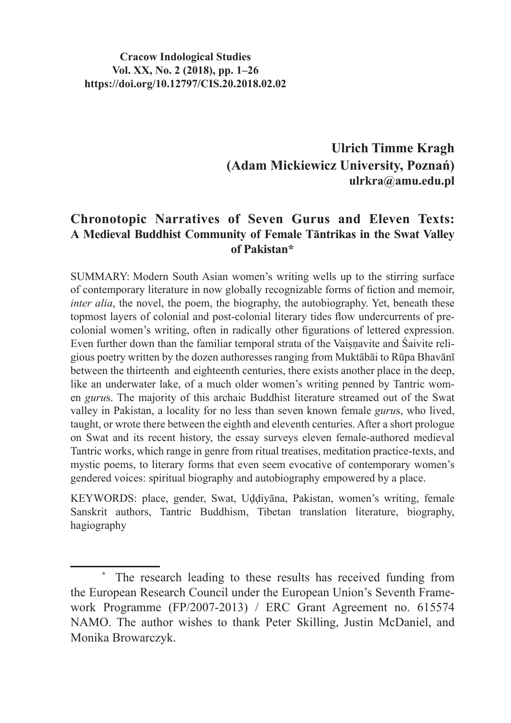**Ulrich Timme Kragh (Adam Mickiewicz University, Poznań) ulrkra@amu.edu.pl**

#### **Chronotopic Narratives of Seven Gurus and Eleven Texts: A Medieval Buddhist Community of Female Tāntrikas in the Swat Valley of Pakistan\***

SUMMARY: Modern South Asian women's writing wells up to the stirring surface of contemporary literature in now globally recognizable forms of fiction and memoir, *inter alia*, the novel, the poem, the biography, the autobiography. Yet, beneath these topmost layers of colonial and post-colonial literary tides flow undercurrents of precolonial women's writing, often in radically other figurations of lettered expression. Even further down than the familiar temporal strata of the Vaisnavite and Śaivite religious poetry written by the dozen authoresses ranging from Muktābāi to Rūpa Bhavānī between the thirteenth and eighteenth centuries, there exists another place in the deep, like an underwater lake, of a much older women's writing penned by Tantric women *guru*s. The majority of this archaic Buddhist literature streamed out of the Swat valley in Pakistan, a locality for no less than seven known female *guru*s, who lived, taught, or wrote there between the eighth and eleventh centuries. After a short prologue on Swat and its recent history, the essay surveys eleven female-authored medieval Tantric works, which range in genre from ritual treatises, meditation practice-texts, and mystic poems, to literary forms that even seem evocative of contemporary women's gendered voices: spiritual biography and autobiography empowered by a place.

KEYWORDS: place, gender, Swat, Uḍḍiyāna, Pakistan, women's writing, female Sanskrit authors, Tantric Buddhism, Tibetan translation literature, biography, hagiography

<sup>\*</sup> The research leading to these results has received funding from the European Research Council under the European Union's Seventh Framework Programme (FP/2007-2013) / ERC Grant Agreement no. 615574 NAMO. The author wishes to thank Peter Skilling, Justin McDaniel, and Monika Browarczyk.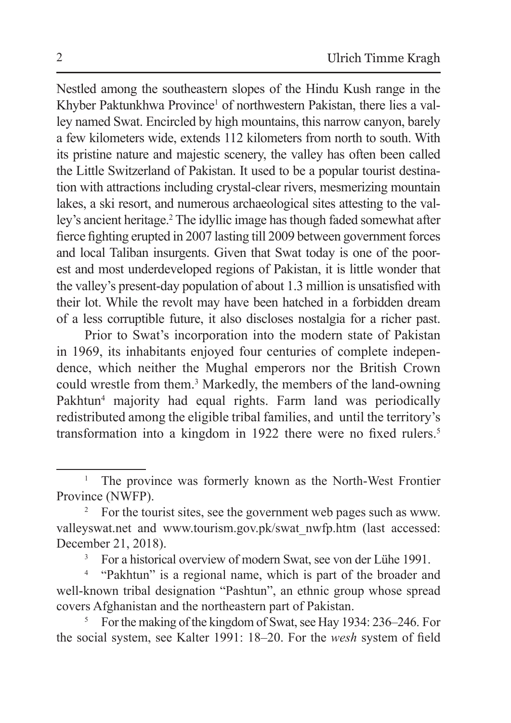Nestled among the southeastern slopes of the Hindu Kush range in the Khyber Paktunkhwa Province<sup>1</sup> of northwestern Pakistan, there lies a valley named Swat. Encircled by high mountains, this narrow canyon, barely a few kilometers wide, extends 112 kilometers from north to south. With its pristine nature and majestic scenery, the valley has often been called the Little Switzerland of Pakistan. It used to be a popular tourist destination with attractions including crystal-clear rivers, mesmerizing mountain lakes, a ski resort, and numerous archaeological sites attesting to the valley's ancient heritage.2 The idyllic image has though faded somewhat after fierce fighting erupted in 2007 lasting till 2009 between government forces and local Taliban insurgents. Given that Swat today is one of the poorest and most underdeveloped regions of Pakistan, it is little wonder that the valley's present-day population of about 1.3 million is unsatisfied with their lot. While the revolt may have been hatched in a forbidden dream of a less corruptible future, it also discloses nostalgia for a richer past.

Prior to Swat's incorporation into the modern state of Pakistan in 1969, its inhabitants enjoyed four centuries of complete independence, which neither the Mughal emperors nor the British Crown could wrestle from them.3 Markedly, the members of the land-owning Pakhtun<sup>4</sup> majority had equal rights. Farm land was periodically redistributed among the eligible tribal families, and until the territory's transformation into a kingdom in 1922 there were no fixed rulers.<sup>5</sup>

<sup>&</sup>lt;sup>1</sup> The province was formerly known as the North-West Frontier Province (NWFP).

<sup>&</sup>lt;sup>2</sup> For the tourist sites, see the government web pages such as www. valleyswat.net and www.tourism.gov.pk/swat\_nwfp.htm (last accessed: December 21, 2018).

<sup>3</sup> For a historical overview of modern Swat, see von der Lühe 1991.

<sup>4</sup> "Pakhtun" is a regional name, which is part of the broader and well-known tribal designation "Pashtun", an ethnic group whose spread covers Afghanistan and the northeastern part of Pakistan.

<sup>&</sup>lt;sup>5</sup> For the making of the kingdom of Swat, see Hay 1934:  $236-246$ . For the social system, see Kalter 1991: 18–20. For the *wesh* system of field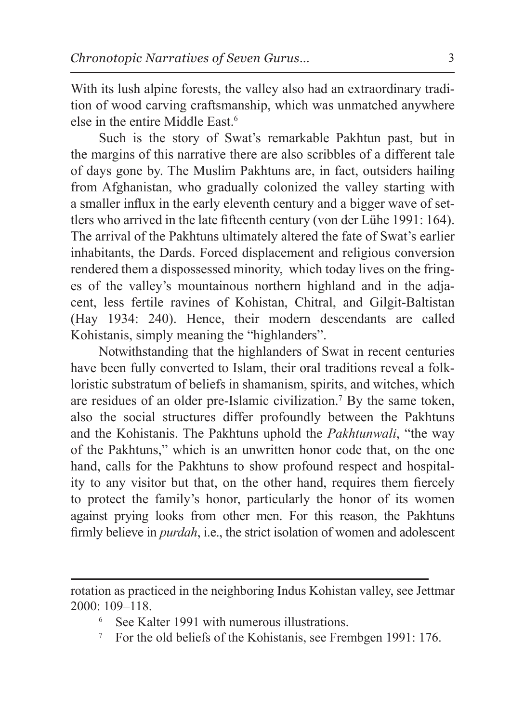With its lush alpine forests, the valley also had an extraordinary tradition of wood carving craftsmanship, which was unmatched anywhere else in the entire Middle East<sup>6</sup>

Such is the story of Swat's remarkable Pakhtun past, but in the margins of this narrative there are also scribbles of a different tale of days gone by. The Muslim Pakhtuns are, in fact, outsiders hailing from Afghanistan, who gradually colonized the valley starting with a smaller influx in the early eleventh century and a bigger wave of settlers who arrived in the late fifteenth century (von der Lühe 1991: 164). The arrival of the Pakhtuns ultimately altered the fate of Swat's earlier inhabitants, the Dards. Forced displacement and religious conversion rendered them a dispossessed minority, which today lives on the fringes of the valley's mountainous northern highland and in the adjacent, less fertile ravines of Kohistan, Chitral, and Gilgit-Baltistan (Hay 1934: 240). Hence, their modern descendants are called Kohistanis, simply meaning the "highlanders".

Notwithstanding that the highlanders of Swat in recent centuries have been fully converted to Islam, their oral traditions reveal a folkloristic substratum of beliefs in shamanism, spirits, and witches, which are residues of an older pre-Islamic civilization.<sup>7</sup> By the same token, also the social structures differ profoundly between the Pakhtuns and the Kohistanis. The Pakhtuns uphold the *Pakhtunwali*, "the way of the Pakhtuns," which is an unwritten honor code that, on the one hand, calls for the Pakhtuns to show profound respect and hospitality to any visitor but that, on the other hand, requires them fiercely to protect the family's honor, particularly the honor of its women against prying looks from other men. For this reason, the Pakhtuns firmly believe in *purdah*, i.e., the strict isolation of women and adolescent

- See Kalter 1991 with numerous illustrations.
- <sup>7</sup> For the old beliefs of the Kohistanis, see Frembgen 1991: 176.

rotation as practiced in the neighboring Indus Kohistan valley, see Jettmar 2000: 109–118.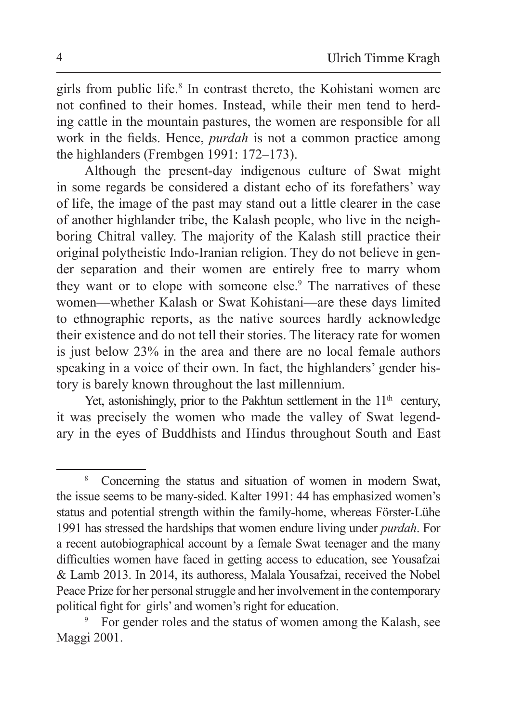girls from public life.8 In contrast thereto, the Kohistani women are not confined to their homes. Instead, while their men tend to herding cattle in the mountain pastures, the women are responsible for all work in the fields. Hence, *purdah* is not a common practice among the highlanders (Frembgen 1991: 172–173).

Although the present-day indigenous culture of Swat might in some regards be considered a distant echo of its forefathers' way of life, the image of the past may stand out a little clearer in the case of another highlander tribe, the Kalash people, who live in the neighboring Chitral valley. The majority of the Kalash still practice their original polytheistic Indo-Iranian religion. They do not believe in gender separation and their women are entirely free to marry whom they want or to elope with someone else.<sup>9</sup> The narratives of these women—whether Kalash or Swat Kohistani—are these days limited to ethnographic reports, as the native sources hardly acknowledge their existence and do not tell their stories. The literacy rate for women is just below 23% in the area and there are no local female authors speaking in a voice of their own. In fact, the highlanders' gender history is barely known throughout the last millennium.

Yet, astonishingly, prior to the Pakhtun settlement in the  $11<sup>th</sup>$  century, it was precisely the women who made the valley of Swat legendary in the eyes of Buddhists and Hindus throughout South and East

<sup>8</sup> Concerning the status and situation of women in modern Swat, the issue seems to be many-sided. Kalter 1991: 44 has emphasized women's status and potential strength within the family-home, whereas Förster-Lühe 1991 has stressed the hardships that women endure living under *purdah*. For a recent autobiographical account by a female Swat teenager and the many difficulties women have faced in getting access to education, see Yousafzai & Lamb 2013. In 2014, its authoress, Malala Yousafzai, received the Nobel Peace Prize for her personal struggle and her involvement in the contemporary political fight for girls' and women's right for education.

<sup>9</sup> For gender roles and the status of women among the Kalash, see Maggi 2001.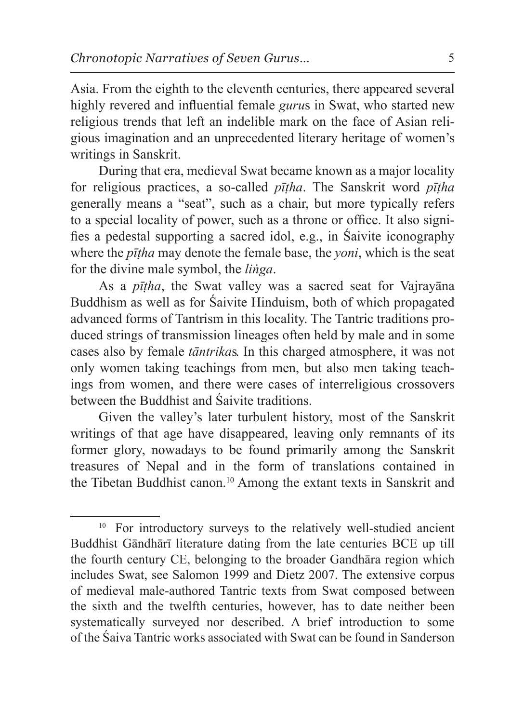Asia. From the eighth to the eleventh centuries, there appeared several highly revered and influential female *guru*s in Swat, who started new religious trends that left an indelible mark on the face of Asian religious imagination and an unprecedented literary heritage of women's writings in Sanskrit.

During that era, medieval Swat became known as a major locality for religious practices, a so-called *pīṭha*. The Sanskrit word *pīṭha* generally means a "seat", such as a chair, but more typically refers to a special locality of power, such as a throne or office. It also signifies a pedestal supporting a sacred idol, e.g., in Śaivite iconography where the *pīṭha* may denote the female base, the *yoni*, which is the seat for the divine male symbol, the *liṅga*.

As a *pīṭha*, the Swat valley was a sacred seat for Vajrayāna Buddhism as well as for Śaivite Hinduism, both of which propagated advanced forms of Tantrism in this locality. The Tantric traditions produced strings of transmission lineages often held by male and in some cases also by female *tāntrika*s. In this charged atmosphere, it was not only women taking teachings from men, but also men taking teachings from women, and there were cases of interreligious crossovers between the Buddhist and Śaivite traditions.

Given the valley's later turbulent history, most of the Sanskrit writings of that age have disappeared, leaving only remnants of its former glory, nowadays to be found primarily among the Sanskrit treasures of Nepal and in the form of translations contained in the Tibetan Buddhist canon.10 Among the extant texts in Sanskrit and

<sup>&</sup>lt;sup>10</sup> For introductory surveys to the relatively well-studied ancient Buddhist Gāndhārī literature dating from the late centuries BCE up till the fourth century CE, belonging to the broader Gandhāra region which includes Swat, see Salomon 1999 and Dietz 2007. The extensive corpus of medieval male-authored Tantric texts from Swat composed between the sixth and the twelfth centuries, however, has to date neither been systematically surveyed nor described. A brief introduction to some of the Śaiva Tantric works associated with Swat can be found in Sanderson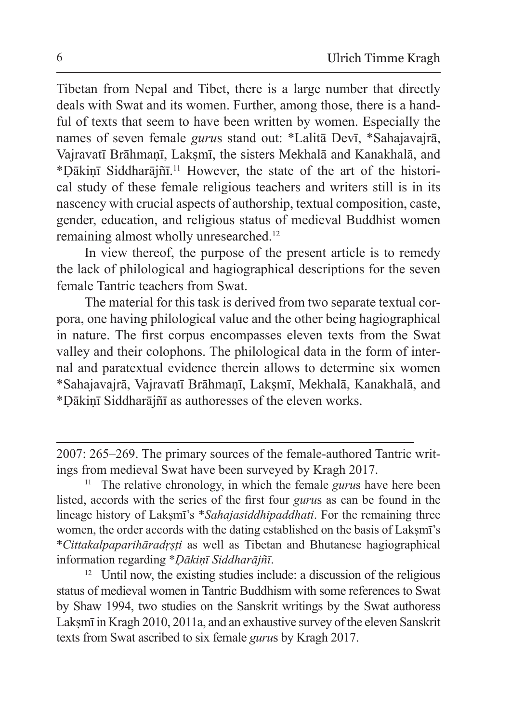Tibetan from Nepal and Tibet, there is a large number that directly deals with Swat and its women. Further, among those, there is a handful of texts that seem to have been written by women. Especially the names of seven female *guru*s stand out: \*Lalitā Devī, \*Sahajavajrā, Vajravatī Brāhmanī, Laksmī, the sisters Mekhalā and Kanakhalā, and \*Ḍākiṇī Siddharājñī.<sup>11</sup> However, the state of the art of the historical study of these female religious teachers and writers still is in its nascency with crucial aspects of authorship, textual composition, caste, gender, education, and religious status of medieval Buddhist women remaining almost wholly unresearched.<sup>12</sup>

In view thereof, the purpose of the present article is to remedy the lack of philological and hagiographical descriptions for the seven female Tantric teachers from Swat.

The material for this task is derived from two separate textual corpora, one having philological value and the other being hagiographical in nature. The first corpus encompasses eleven texts from the Swat valley and their colophons. The philological data in the form of internal and paratextual evidence therein allows to determine six women \*Sahajavajrā, Vajravatī Brāhmaṇī, Lakṣmī, Mekhalā, Kanakhalā, and \*Ḍākiṇī Siddharājñī as authoresses of the eleven works.

<sup>12</sup> Until now, the existing studies include: a discussion of the religious status of medieval women in Tantric Buddhism with some references to Swat by Shaw 1994, two studies on the Sanskrit writings by the Swat authoress Laksmī in Kragh 2010, 2011a, and an exhaustive survey of the eleven Sanskrit texts from Swat ascribed to six female *guru*s by Kragh 2017.

<sup>2007:</sup> 265–269. The primary sources of the female-authored Tantric writings from medieval Swat have been surveyed by Kragh 2017.

<sup>11</sup> The relative chronology, in which the female *guru*s have here been listed, accords with the series of the first four *guru*s as can be found in the lineage history of Lakṣmī's \**Sahajasiddhipaddhati*. For the remaining three women, the order accords with the dating established on the basis of Lakṣmī's \**Cittakalpaparihāradṛṣṭi* as well as Tibetan and Bhutanese hagiographical information regarding \**Ḍākiṇī Siddharājñī*.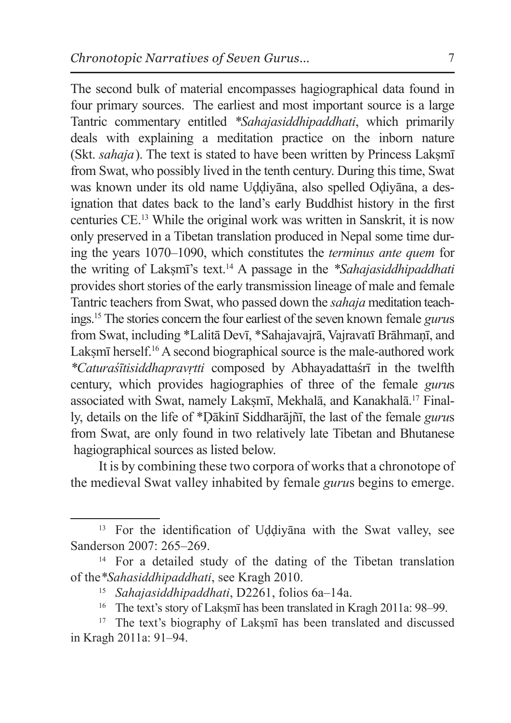The second bulk of material encompasses hagiographical data found in four primary sources. The earliest and most important source is a large Tantric commentary entitled *\*Sahajasiddhipaddhati*, which primarily deals with explaining a meditation practice on the inborn nature (Skt. *sahaja*). The text is stated to have been written by Princess Lakṣmī from Swat, who possibly lived in the tenth century. During this time, Swat was known under its old name Uḍḍiyāna, also spelled Oḍiyāna, a designation that dates back to the land's early Buddhist history in the first centuries CE.13 While the original work was written in Sanskrit, it is now only preserved in a Tibetan translation produced in Nepal some time during the years 1070–1090, which constitutes the *terminus ante quem* for the writing of Lakṣmī's text.14 A passage in the *\*Sahajasiddhipaddhati*  provides short stories of the early transmission lineage of male and female Tantric teachers from Swat, who passed down the *sahaja* meditation teachings.15 The stories concern the four earliest of the seven known female *guru*s from Swat, including \*Lalitā Devī, \*Sahajavajrā, Vajravatī Brāhmaṇī, and Laksmī herself.<sup>16</sup> A second biographical source is the male-authored work *\*Caturaśītisiddhapravṛtti* composed by Abhayadattaśrī in the twelfth century, which provides hagiographies of three of the female *guru*s associated with Swat, namely Laksmī, Mekhalā, and Kanakhalā.<sup>17</sup> Finally, details on the life of \*Ḍākinī Siddharājñī, the last of the female *guru*s from Swat, are only found in two relatively late Tibetan and Bhutanese hagiographical sources as listed below.

It is by combining these two corpora of works that a chronotope of the medieval Swat valley inhabited by female *guru*s begins to emerge.

<sup>13</sup> For the identification of Uḍḍiyāna with the Swat valley, see Sanderson 2007: 265–269.

<sup>&</sup>lt;sup>14</sup> For a detailed study of the dating of the Tibetan translation of the*\*Sahasiddhipaddhati*, see Kragh 2010.

<sup>15</sup> *Sahajasiddhipaddhati*, D2261, folios 6a–14a.

<sup>&</sup>lt;sup>16</sup> The text's story of Laksmī has been translated in Kragh 2011a: 98–99.

<sup>&</sup>lt;sup>17</sup> The text's biography of Laksm<del><sup>17</sup></del> has been translated and discussed in Kragh 2011a: 91–94.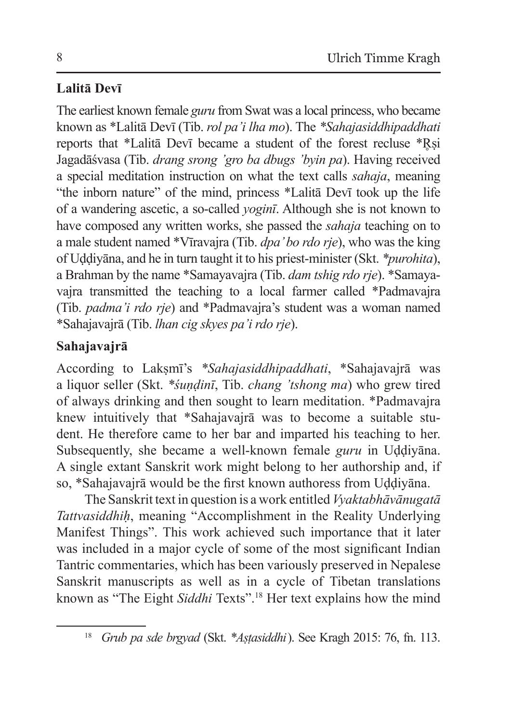# **Lalitā Devī**

The earliest known female *guru* from Swat was a local princess, who became known as \*Lalitā Devī (Tib. *rol pa'i lha mo*). The *\*Sahajasiddhipaddhati*  reports that \*Lalitā Devī became a student of the forest recluse \*Rsi Jagadāśvasa (Tib. *drang srong 'gro ba dbugs 'byin pa*). Having received a special meditation instruction on what the text calls *sahaja*, meaning "the inborn nature" of the mind, princess \*Lalitā Devī took up the life of a wandering ascetic, a so-called *yoginī*. Although she is not known to have composed any written works, she passed the *sahaja* teaching on to a male student named \*Vīravajra (Tib. *dpa' bo rdo rje*), who was the king of Uḍḍiyāna, and he in turn taught it to his priest-minister (Skt. *\*purohita*), a Brahman by the name \*Samayavajra (Tib. *dam tshig rdo rje*). \*Samayavajra transmitted the teaching to a local farmer called \*Padmavajra (Tib. *padma'i rdo rje*) and \*Padmavajra's student was a woman named \*Sahajavajrā (Tib. *lhan cig skyes pa'i rdo rje*).

# **Sahajavajrā**

According to Lakṣmī's *\*Sahajasiddhipaddhati*, \*Sahajavajrā was a liquor seller (Skt. *\*śuṇḍinī*, Tib. *chang ' tshong ma*) who grew tired of always drinking and then sought to learn meditation. \*Padmavajra knew intuitively that \*Sahajavajrā was to become a suitable student. He therefore came to her bar and imparted his teaching to her. Subsequently, she became a well-known female *guru* in Uddiyana. A single extant Sanskrit work might belong to her authorship and, if so, \*Sahajavajrā would be the first known authoress from Uḍḍiyāna.

The Sanskrit text in question is a work entitled *Vyaktabhāvānugatā Tattvasiddhiḥ*, meaning "Accomplishment in the Reality Underlying Manifest Things". This work achieved such importance that it later was included in a major cycle of some of the most significant Indian Tantric commentaries, which has been variously preserved in Nepalese Sanskrit manuscripts as well as in a cycle of Tibetan translations known as "The Eight *Siddhi* Texts".<sup>18</sup> Her text explains how the mind

<sup>18</sup> *Grub pa sde brgyad* (Skt. *\*Aṣṭasiddhi*). See Kragh 2015: 76, fn. 113.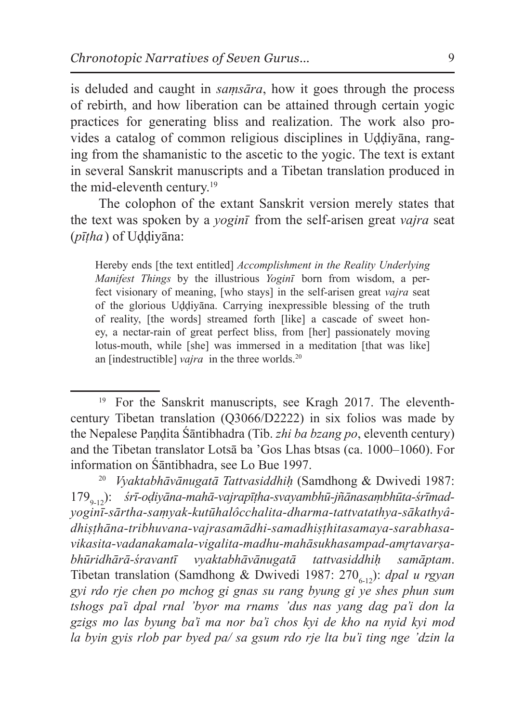is deluded and caught in *saṃsāra*, how it goes through the process of rebirth, and how liberation can be attained through certain yogic practices for generating bliss and realization. The work also provides a catalog of common religious disciplines in Uḍḍiyāna, ranging from the shamanistic to the ascetic to the yogic. The text is extant in several Sanskrit manuscripts and a Tibetan translation produced in the mid-eleventh century.<sup>19</sup>

The colophon of the extant Sanskrit version merely states that the text was spoken by a *yoginī* from the self-arisen great *vajra* seat (*pīṭha*) of Uḍḍiyāna:

Hereby ends [the text entitled] *Accomplishment in the Reality Underlying Manifest Things* by the illustrious *Yoginī* born from wisdom, a perfect visionary of meaning, [who stays] in the self-arisen great *vajra* seat of the glorious Uḍḍiyāna. Carrying inexpressible blessing of the truth of reality, [the words] streamed forth [like] a cascade of sweet honey, a nectar-rain of great perfect bliss, from [her] passionately moving lotus-mouth, while [she] was immersed in a meditation [that was like] an [indestructible] *vajra* in the three worlds.<sup>20</sup>

<sup>&</sup>lt;sup>19</sup> For the Sanskrit manuscripts, see Kragh 2017. The eleventhcentury Tibetan translation (Q3066/D2222) in six folios was made by the Nepalese Paṇḍita Śāntibhadra (Tib. *zhi ba bzang po*, eleventh century) and the Tibetan translator Lotsā ba 'Gos Lhas btsas (ca. 1000–1060). For information on Śāntibhadra, see Lo Bue 1997.

<sup>20</sup> *Vyaktabhāvānugatā Tattvasiddhiḥ* (Samdhong & Dwivedi 1987: 179<sub>0-12</sub>): *śrī-oḍiyāna-mahā-vajrapīṭha-svayambhū-jñānasaṃbhūta-śrīmadyoginī-sārtha-saṃyak-kutūhalôcchalita-dharma-tattvatathya-sākathyâdhiṣṭhāna-tribhuvana-vajrasamādhi-samadhiṣṭhitasamaya-sarabhasavikasita-vadanakamala-vigalita-madhu-mahāsukhasampad-am*̥*rtavarṣabhūridhārā-śravantī vyaktabhāvānugatā tattvasiddhiḥ samāptam*. Tibetan translation (Samdhong & Dwivedi 1987:  $270_{612}$ ): *dpal u rgyan gyi rdo rje chen po mchog gi gnas su rang byung gi ye shes phun sum tshogs pa'i dpal rnal 'byor ma rnams 'dus nas yang dag pa'i don la gzigs mo las byung ba'i ma nor ba'i chos kyi de kho na nyid kyi mod la byin gyis rlob par byed pa/ sa gsum rdo rje lta bu'i ting nge 'dzin la*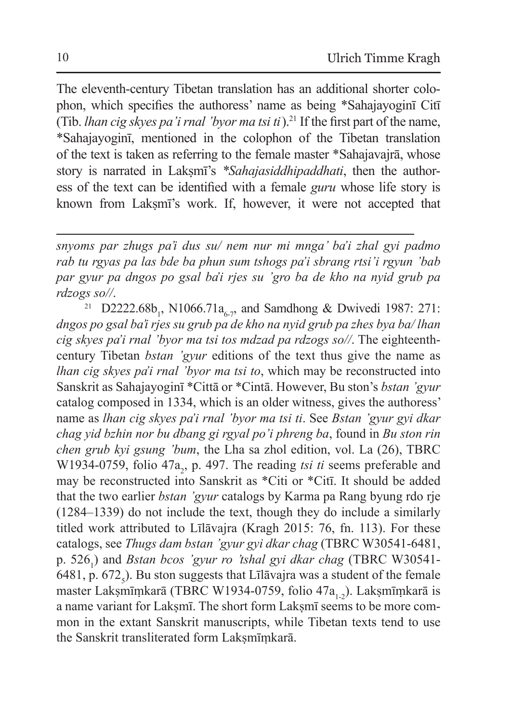The eleventh-century Tibetan translation has an additional shorter colophon, which specifies the authoress' name as being \*Sahajayoginī Citī (Tib. *lhan cig skyes pa'i rnal 'byor ma tsi ti*).<sup>21</sup> If the first part of the name, \*Sahajayoginī, mentioned in the colophon of the Tibetan translation of the text is taken as referring to the female master \*Sahajavajrā, whose story is narrated in Laksmī's *\*Sahajasiddhipaddhati*, then the authoress of the text can be identified with a female *guru* whose life story is known from Lakṣmī's work. If, however, it were not accepted that

*snyoms par zhugs pa'i dus su/ nem nur mi mnga' ba'i zhal gyi padmo rab tu rgyas pa las bde ba phun sum tshogs pa'i sbrang rtsi'i rgyun 'bab par gyur pa dngos po gsal ba'i rjes su 'gro ba de kho na nyid grub pa rdzogs so//*.

<sup>21</sup> D2222.68b<sub>1</sub>, N1066.71a<sub>6-7</sub>, and Samdhong & Dwivedi 1987: 271: *dngos po gsal ba'i rjes su grub pa de kho na nyid grub pa zhes bya ba/ lhan cig skyes pa'i rnal 'byor ma tsi tos mdzad pa rdzogs so//*. The eighteenthcentury Tibetan *bstan 'gyur* editions of the text thus give the name as *lhan cig skyes pa'i rnal 'byor ma tsi to*, which may be reconstructed into Sanskrit as Sahajayoginī \*Cittā or \*Cintā. However, Bu ston's *bstan 'gyur*  catalog composed in 1334, which is an older witness, gives the authoress' name as *lhan cig skyes pa'i rnal 'byor ma tsi ti*. See *Bstan 'gyur gyi dkar chag yid bzhin nor bu dbang gi rgyal po'i phreng ba*, found in *Bu ston rin chen grub kyi gsung 'bum*, the Lha sa zhol edition, vol. La (26), TBRC W1934-0759, folio 47 $a_2$ , p. 497. The reading *tsi ti* seems preferable and may be reconstructed into Sanskrit as \*Citi or \*Citī. It should be added that the two earlier *bstan 'gyur* catalogs by Karma pa Rang byung rdo rje (1284–1339) do not include the text, though they do include a similarly titled work attributed to Līlāvajra (Kragh 2015: 76, fn. 113). For these catalogs, see *Thugs dam bstan 'gyur gyi dkar chag* (TBRC W30541-6481, p. 5261 ) and *Bstan bcos 'gyur ro 'tshal gyi dkar chag* (TBRC W30541- 6481, p. 672<sub>5</sub>). Bu ston suggests that Līlāvajra was a student of the female master Lakṣmīṃkarā (TBRC W1934-0759, folio 47a<sub>1-2</sub>). Lakṣmīṃkarā is a name variant for Lakṣmī. The short form Lakṣmī seems to be more common in the extant Sanskrit manuscripts, while Tibetan texts tend to use the Sanskrit transliterated form Laksmīmkarā.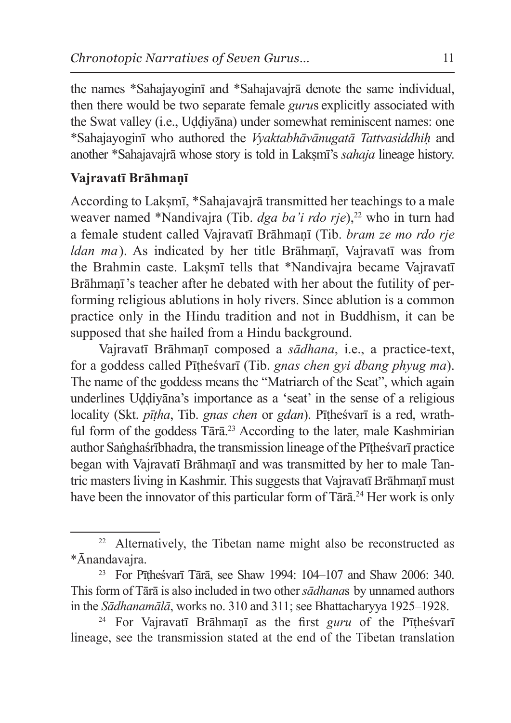the names \*Sahajayoginī and \*Sahajavajrā denote the same individual, then there would be two separate female *guru*s explicitly associated with the Swat valley (i.e., Uḍḍiyāna) under somewhat reminiscent names: one \*Sahajayoginī who authored the *Vyaktabhāvānugatā Tattvasiddhiḥ* and another \*Sahajavajrā whose story is told in Lakṣmī's *sahaja* lineage history.

#### **Vajravatī Brāhmaṇī**

According to Lakṣmī, \*Sahajavajrā transmitted her teachings to a male weaver named \*Nandivajra (Tib. *dga ba'i rdo rje*),<sup>22</sup> who in turn had a female student called Vajravatī Brāhmaṇī (Tib. *bram ze mo rdo rje ldan ma*). As indicated by her title Brāhmaṇī, Vajravatī was from the Brahmin caste. Lakṣmī tells that \*Nandivajra became Vajravatī Brāhmaṇī 's teacher after he debated with her about the futility of performing religious ablutions in holy rivers. Since ablution is a common practice only in the Hindu tradition and not in Buddhism, it can be supposed that she hailed from a Hindu background.

Vajravatī Brāhmaṇī composed a *sādhana*, i.e., a practice-text, for a goddess called Pīṭheśvarī (Tib. *gnas chen gyi dbang phyug ma*). The name of the goddess means the "Matriarch of the Seat", which again underlines Uḍḍiyāna's importance as a 'seat' in the sense of a religious locality (Skt. *pīṭha*, Tib. *gnas chen* or *gdan*). Pīṭheśvarī is a red, wrathful form of the goddess  $T\bar{a}r\bar{a}^{23}$  According to the later, male Kashmirian author Saṅghaśrībhadra, the transmission lineage of the Pīṭheśvarī practice began with Vajravatī Brāhmanī and was transmitted by her to male Tantric masters living in Kashmir. This suggests that Vajravatī Brāhmanī must have been the innovator of this particular form of Tārā.<sup>24</sup> Her work is only

<sup>22</sup> Alternatively, the Tibetan name might also be reconstructed as \*Ānandavajra.

<sup>23</sup> For Pīṭheśvarī Tārā, see Shaw 1994: 104–107 and Shaw 2006: 340. Thisform of Tārā is also included in two other*sādhana*s by unnamed authors in the *Sādhanamālā*, works no. 310 and 311; see Bhattacharyya 1925–1928.

<sup>24</sup> For Vajravatī Brāhmaṇī as the first *guru* of the Pīṭheśvarī lineage, see the transmission stated at the end of the Tibetan translation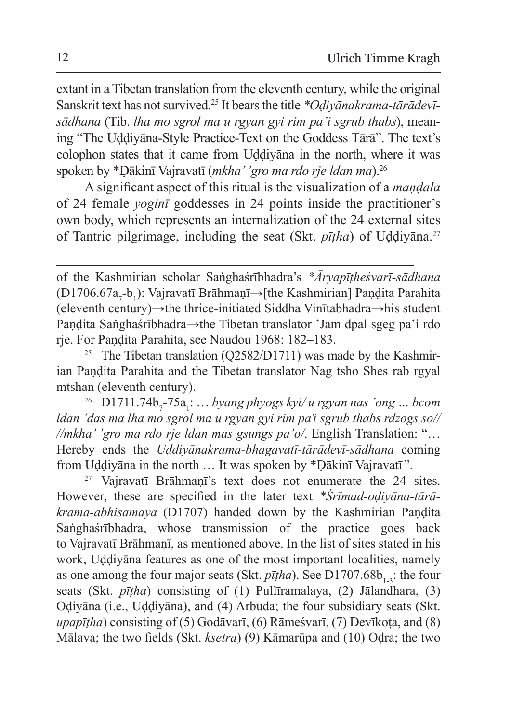extant in a Tibetan translation from the eleventh century, while the original Sanskrit text has not survived.25 It bears the title *\*Oḍiyānakrama-tārādevīsādhana* (Tib. *lha mo sgrol ma u rgyan gyi rim pa'i sgrub thabs*), meaning "The Uḍḍiyāna-Style Practice-Text on the Goddess Tārā". The text's colophon states that it came from Uḍḍiyāna in the north, where it was spoken by \*Ḍākinī Vajravatī (*mkha' 'gro ma rdo rje ldan ma*).<sup>26</sup>

A significant aspect of this ritual is the visualization of a *maṇḍala*  of 24 female *yoginī* goddesses in 24 points inside the practitioner's own body, which represents an internalization of the 24 external sites of Tantric pilgrimage, including the seat (Skt. *pīṭha*) of Uḍḍiyāna.<sup>27</sup>

<sup>25</sup> The Tibetan translation (Q2582/D1711) was made by the Kashmirian Pandita Parahita and the Tibetan translator Nag tsho Shes rab rgyal mtshan (eleventh century).

<sup>26</sup> D1711.74b<sub>7</sub>-75a<sub>1</sub>: ... byang phyogs kyi/u rgyan nas 'ong ... bcom *ldan 'das ma lha mo sgrol ma u rgyan gyi rim pa'i sgrub thabs rdzogs so// //mkha' 'gro ma rdo rje ldan mas gsungs pa'o/*. English Translation: "… Hereby ends the *Uḍḍiyānakrama-bhagavatī-tārādevī-sādhana* coming from Uḍḍiyāna in the north … It was spoken by \*Ḍākinī Vajravatī ".

<sup>27</sup> Vajravatī Brāhmanī's text does not enumerate the 24 sites. However, these are specified in the later text *\*Śrīmad-oḍiyāna-tārākrama-abhisamaya* (D1707) handed down by the Kashmirian Paṇḍita Saṅghaśrībhadra, whose transmission of the practice goes back to Vajravatī Brāhmaṇī, as mentioned above. In the list of sites stated in his work, Uḍḍiyāna features as one of the most important localities, namely as one among the four major seats (Skt.  $p\bar{t}$ *ha*). See D1707.68b<sub>1,2</sub>: the four seats (Skt. *pīṭha*) consisting of (1) Pullīramalaya, (2) Jālandhara, (3) Oḍiyāna (i.e., Uḍḍiyāna), and (4) Arbuda; the four subsidiary seats (Skt. *upapītha*) consisting of (5) Godāvarī, (6) Rāmeśvarī, (7) Devīkota, and (8) Mālava; the two fields (Skt. *kṣetra*) (9) Kāmarūpa and (10) Oḍra; the two

of the Kashmirian scholar Saṅghaśrībhadra's *\*Āryapīṭheśvarī-sādhana* (D1706.67a<sub>7</sub>-b<sub>1</sub>): Vajravatī Brāhmaṇī→[the Kashmirian] Paṇḍita Parahita (eleventh century)→the thrice-initiated Siddha Vinītabhadra→his student Paṇḍita Saṅghaśrībhadra→the Tibetan translator 'Jam dpal sgeg pa'i rdo rje. For Paṇḍita Parahita, see Naudou 1968: 182–183.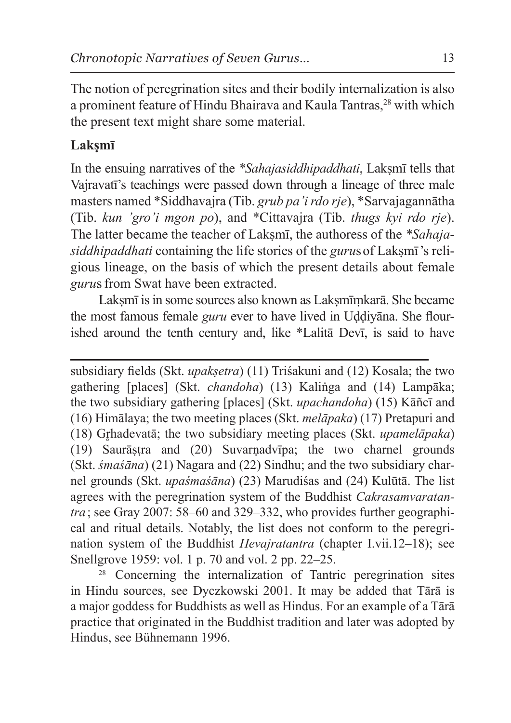The notion of peregrination sites and their bodily internalization is also a prominent feature of Hindu Bhairava and Kaula Tantras.<sup>28</sup> with which the present text might share some material.

### **Lakṣmī**

In the ensuing narratives of the *\*Sahajasiddhipaddhati*, Laksmī tells that Vajravatī's teachings were passed down through a lineage of three male masters named \*Siddhavajra (Tib. *grub pa'i rdo rje*), \*Sarvajagannātha (Tib. *kun 'gro'i mgon po*), and \*Cittavajra (Tib. *thugs kyi rdo rje*). The latter became the teacher of Laksm<del>i</del>, the authoress of the *\*Sahajasiddhipaddhati* containing the life stories of the *guru*sof Lakṣmī 's religious lineage, on the basis of which the present details about female *guru*s from Swat have been extracted.

Laksmī is in some sources also known as Laksmīmkarā. She became the most famous female *guru* ever to have lived in Uḍḍiyāna. She flourished around the tenth century and, like \*Lalitā Devī, is said to have

subsidiary fields (Skt. *upakṣetra*) (11) Triśakuni and (12) Kosala; the two gathering [places] (Skt. *chandoha*) (13) Kaliṅga and (14) Lampāka; the two subsidiary gathering [places] (Skt. *upachandoha*) (15) Kāñcī and (16) Himālaya; the two meeting places (Skt. *melāpaka*) (17) Pretapuri and (18) Gr̥hadevatā; the two subsidiary meeting places (Skt. *upamelāpaka*) (19) Saurāṣṭra and (20) Suvarṇadvīpa; the two charnel grounds (Skt. *śmaśāna*) (21) Nagara and (22) Sindhu; and the two subsidiary charnel grounds (Skt. *upaśmaśāna*) (23) Marudiśas and (24) Kulūtā. The list agrees with the peregrination system of the Buddhist *Cakrasamvaratantra*; see Gray 2007: 58–60 and 329–332, who provides further geographical and ritual details. Notably, the list does not conform to the peregrination system of the Buddhist *Hevajratantra* (chapter I.vii.12–18); see Snellgrove 1959: vol. 1 p. 70 and vol. 2 pp. 22–25.<br><sup>28</sup> Concerning the internalization of Tantric peregrination sites

in Hindu sources, see Dyczkowski 2001. It may be added that Tārā is a major goddess for Buddhists as well as Hindus. For an example of a Tārā practice that originated in the Buddhist tradition and later was adopted by Hindus, see Bühnemann 1996.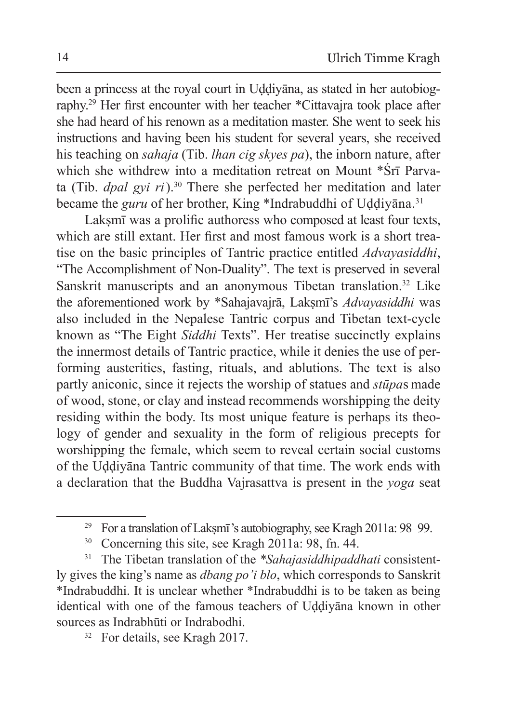been a princess at the royal court in Uḍḍiyāna, as stated in her autobiography.29 Her first encounter with her teacher \*Cittavajra took place after she had heard of his renown as a meditation master. She went to seek his instructions and having been his student for several years, she received his teaching on *sahaja* (Tib. *lhan cig skyes pa*), the inborn nature, after which she withdrew into a meditation retreat on Mount \*Śrī Parvata (Tib. *dpal gyi ri*).30 There she perfected her meditation and later became the *guru* of her brother, King \*Indrabuddhi of Uddiyāna.<sup>31</sup>

Laksmī was a prolific authoress who composed at least four texts, which are still extant. Her first and most famous work is a short treatise on the basic principles of Tantric practice entitled *Advayasiddhi*, "The Accomplishment of Non-Duality". The text is preserved in several Sanskrit manuscripts and an anonymous Tibetan translation.<sup>32</sup> Like the aforementioned work by \*Sahajavajrā, Lakṣmī's *Advayasiddhi* was also included in the Nepalese Tantric corpus and Tibetan text-cycle known as "The Eight *Siddhi* Texts". Her treatise succinctly explains the innermost details of Tantric practice, while it denies the use of performing austerities, fasting, rituals, and ablutions. The text is also partly aniconic, since it rejects the worship of statues and *stūpa*s made of wood, stone, or clay and instead recommends worshipping the deity residing within the body. Its most unique feature is perhaps its theology of gender and sexuality in the form of religious precepts for worshipping the female, which seem to reveal certain social customs of the Uḍḍiyāna Tantric community of that time. The work ends with a declaration that the Buddha Vajrasattva is present in the *yoga* seat

<sup>32</sup> For details, see Kragh 2017.

<sup>&</sup>lt;sup>29</sup> For a translation of Laksmī's autobiography, see Kragh 2011a:  $98-99$ .

<sup>30</sup> Concerning this site, see Kragh 2011a: 98, fn. 44.

<sup>31</sup> The Tibetan translation of the *\*Sahajasiddhipaddhati* consistently gives the king's name as *dbang po'i blo*, which corresponds to Sanskrit \*Indrabuddhi. It is unclear whether \*Indrabuddhi is to be taken as being identical with one of the famous teachers of Uḍḍiyāna known in other sources as Indrabhūti or Indrabodhi.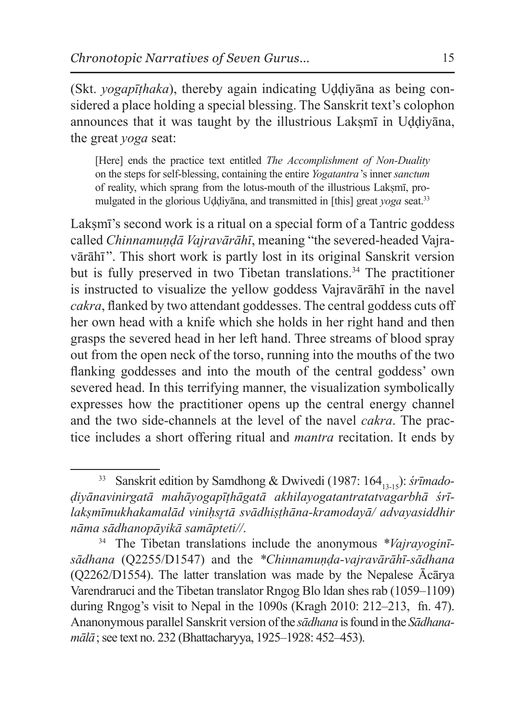(Skt. *yogapīṭhaka*), thereby again indicating Uḍḍiyāna as being considered a place holding a special blessing. The Sanskrit text's colophon announces that it was taught by the illustrious Laksmī in Uddiyāna, the great *yoga* seat:

[Here] ends the practice text entitled *The Accomplishment of Non-Duality* on the steps for self-blessing, containing the entire *Yogatantra*'s inner *sanctum*  of reality, which sprang from the lotus-mouth of the illustrious Lakṣmī, promulgated in the glorious Uḍḍiyāna, and transmitted in [this] great *yoga* seat.33

Lakṣmī's second work is a ritual on a special form of a Tantric goddess called *Chinnamundā Vajravārāhī*, meaning "the severed-headed Vajravārāhī". This short work is partly lost in its original Sanskrit version but is fully preserved in two Tibetan translations.<sup>34</sup> The practitioner is instructed to visualize the yellow goddess Vajravārāhī in the navel *cakra*, flanked by two attendant goddesses. The central goddess cuts off her own head with a knife which she holds in her right hand and then grasps the severed head in her left hand. Three streams of blood spray out from the open neck of the torso, running into the mouths of the two flanking goddesses and into the mouth of the central goddess' own severed head. In this terrifying manner, the visualization symbolically expresses how the practitioner opens up the central energy channel and the two side-channels at the level of the navel *cakra*. The practice includes a short offering ritual and *mantra* recitation. It ends by

<sup>&</sup>lt;sup>33</sup> Sanskrit edition by Samdhong & Dwivedi (1987: 164<sub>13-15</sub>): *śrīmadoḍiyānavinirgatā mahāyogapīṭhāgatā akhilayogatantratatvagarbhā śrīlakṣmīmukhakamalād viniḥs*̥*rtā svādhiṣṭhāna-kramodayā/ advayasiddhir nāma sādhanopāyikā samāpteti//*. 34 The Tibetan translations include the anonymous *\*Vajrayoginī-*

*sādhana* (Q2255/D1547) and the *\*Chinnamuṇḍa-vajravārāhī-sādhana* (Q2262/D1554). The latter translation was made by the Nepalese Ācārya Varendraruci and the Tibetan translator Rngog Blo ldan shesrab (1059–1109) during Rngog's visit to Nepal in the 1090s (Kragh 2010: 212–213, fn. 47). Ananonymous parallel Sanskrit version ofthe *sādhana* is found in the *Sādhanamālā*;see text no. 232 (Bhattacharyya, 1925–1928: 452–453).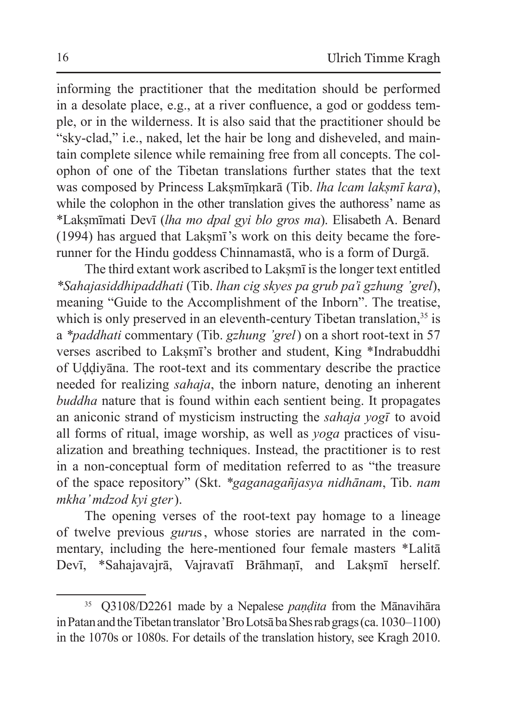informing the practitioner that the meditation should be performed in a desolate place, e.g., at a river confluence, a god or goddess temple, or in the wilderness. It is also said that the practitioner should be "sky-clad," i.e., naked, let the hair be long and disheveled, and maintain complete silence while remaining free from all concepts. The colophon of one of the Tibetan translations further states that the text was composed by Princess Lakṣmīṃkarā (Tib. *lha lcam lakṣmī kara*), while the colophon in the other translation gives the authoress' name as \*Lakṣmīmati Devī (*lha mo dpal gyi blo gros ma*). Elisabeth A. Benard (1994) has argued that Laksmī's work on this deity became the forerunner for the Hindu goddess Chinnamastā, who is a form of Durgā.

The third extant work ascribed to Laksmī is the longer text entitled *\*Sahajasiddhipaddhati* (Tib. *lhan cig skyes pa grub pa'i gzhung 'grel*), meaning "Guide to the Accomplishment of the Inborn". The treatise, which is only preserved in an eleventh-century Tibetan translation,  $35$  is a *\*paddhati* commentary (Tib. *gzhung 'grel*) on a short root-text in 57 verses ascribed to Laksmī's brother and student, King \*Indrabuddhi of Uḍḍiyāna. The root-text and its commentary describe the practice needed for realizing *sahaja*, the inborn nature, denoting an inherent *buddha* nature that is found within each sentient being. It propagates an aniconic strand of mysticism instructing the *sahaja yogī* to avoid all forms of ritual, image worship, as well as *yoga* practices of visualization and breathing techniques. Instead, the practitioner is to rest in a non-conceptual form of meditation referred to as "the treasure of the space repository" (Skt. *\*gaganagañjasya nidhānam*, Tib. *nam mkha' mdzod kyi gter*).

The opening verses of the root-text pay homage to a lineage of twelve previous *guru*s  , whose stories are narrated in the commentary, including the here-mentioned four female masters \*Lalitā Devī, \*Sahajavajrā, Vajravatī Brāhmaṇī, and Lakṣmī herself.

<sup>35</sup> Q3108/D2261 made by a Nepalese *paṇḍita* from the Mānavihāra in Patan and the Tibetan translator 'Bro Lotsā ba Shes rab grags (ca. 1030–1100) in the 1070s or 1080s. For details of the translation history, see Kragh 2010.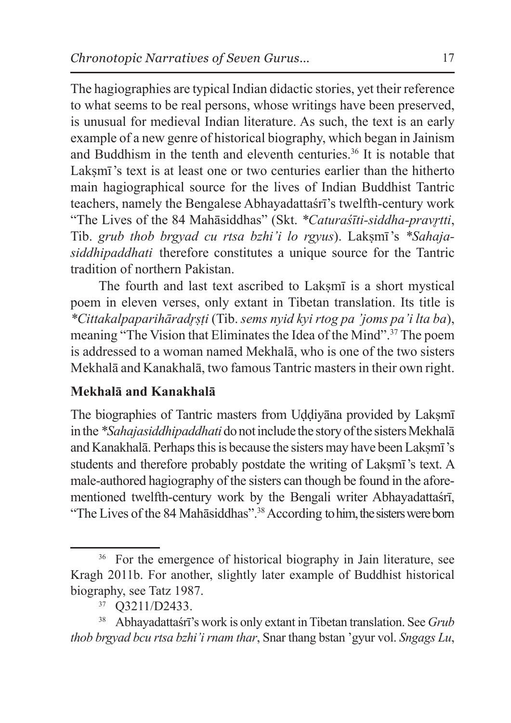The hagiographies are typical Indian didactic stories, yet their reference to what seems to be real persons, whose writings have been preserved, is unusual for medieval Indian literature. As such, the text is an early example of a new genre of historical biography, which began in Jainism and Buddhism in the tenth and eleventh centuries.36 It is notable that Laksmī's text is at least one or two centuries earlier than the hitherto main hagiographical source for the lives of Indian Buddhist Tantric teachers, namely the Bengalese Abhayadattaśrī's twelfth-century work "The Lives of the 84 Mahāsiddhas" (Skt. *\*Caturaśīti-siddha-prav*̥*rtti*, Tib. *grub thob brgyad cu rtsa bzhi'i lo rgyus*). Lakṣmī 's *\*Sahajasiddhipaddhati* therefore constitutes a unique source for the Tantric tradition of northern Pakistan.

The fourth and last text ascribed to Laksm<del>i</del> is a short mystical poem in eleven verses, only extant in Tibetan translation. Its title is *\*Cittakalpaparihārad*̥*rṣṭi* (Tib. *sems nyid kyi rtog pa 'joms pa'i lta ba*), meaning "The Vision that Eliminates the Idea of the Mind".<sup>37</sup> The poem is addressed to a woman named Mekhalā, who is one of the two sisters Mekhalā and Kanakhalā, two famous Tantric mastersin their own right.

## **Mekhalā and Kanakhalā**

The biographies of Tantric masters from Uddiyana provided by Laksm in the *\*Sahajasiddhipaddhati* do not include the story of the sisters Mekhalā and Kanakhalā. Perhaps this is because the sisters may have been Lakṣmī's students and therefore probably postdate the writing of Laksmī's text. A male-authored hagiography of the sisters can though be found in the aforementioned twelfth-century work by the Bengali writer Abhayadattaśrī, "The Lives of the 84 Mahāsiddhas".<sup>38</sup> According to him, the sisters were born

<sup>&</sup>lt;sup>36</sup> For the emergence of historical biography in Jain literature, see Kragh 2011b. For another, slightly later example of Buddhist historical biography, see Tatz 1987.

<sup>37</sup> Q3211/D2433.

<sup>38</sup> Abhayadattaśrī's work is only extant in Tibetan translation. See *Grub thob brgyad bcu rtsa bzhi'i rnam thar*, Snar thang bstan 'gyur vol. *Sngags Lu*,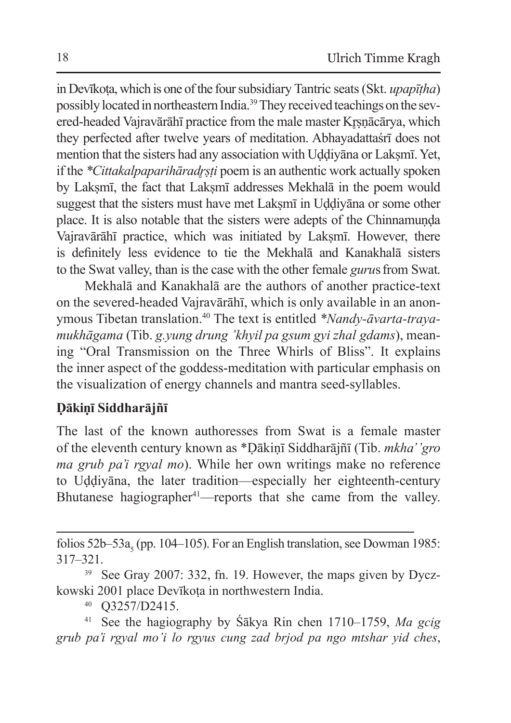in Devīkoṭa, which is one of the foursubsidiary Tantric seats(Skt. *upapīṭha*) possibly located in northeastern India.39 They received teachings on the severed-headed Vajravārāhī practice from the male master Krsnācārya, which they perfected after twelve years of meditation. Abhayadattaśrī does not mention that the sisters had any association with Uddiyana or Laksmī. Yet, if the *\*Cittakalpaparihāradrsti* poem is an authentic work actually spoken by Laksmī, the fact that Laksmī addresses Mekhalā in the poem would suggest that the sisters must have met Laksmī in Uddiyāna or some other place. It is also notable that the sisters were adepts of the Chinnamuṇḍa Vajravārāhī practice, which was initiated by Laksmī. However, there is definitely less evidence to tie the Mekhalā and Kanakhalā sisters to the Swat valley, than is the case with the other female *guru*s from Swat.

Mekhalā and Kanakhalā are the authors of another practice-text on the severed-headed Vajravārāhī, which is only available in an anonymous Tibetan translation.40 The text is entitled *\*Nandy-āvarta-trayamukhāgama* (Tib. *g.yung drung 'khyil pa gsum gyi zhal gdams*), meaning "Oral Transmission on the Three Whirls of Bliss". It explains the inner aspect of the goddess-meditation with particular emphasis on the visualization of energy channels and mantra seed-syllables.

## **Ḍākiṇī Siddharājñī**

The last of the known authoresses from Swat is a female master of the eleventh century known as \*Ḍākiṇī Siddharājñī (Tib. *mkha' 'gro ma grub pa'i rgyal mo*). While her own writings make no reference to Uḍḍiyāna, the later tradition—especially her eighteenth-century Bhutanese hagiographer<sup>41</sup>—reports that she came from the valley.

folios 52b–53a<sub>s</sub> (pp. 104–105). For an English translation, see Dowman 1985: 317–321.

<sup>39</sup> See Gray 2007: 332, fn. 19. However, the maps given by Dyczkowski 2001 place Devīkoṭa in northwestern India.

<sup>40</sup> Q3257/D2415.

<sup>41</sup> See the hagiography by Śākya Rin chen 1710–1759, *Ma gcig grub pa'i rgyal mo'i lo rgyus cung zad brjod pa ngo mtshar yid ches*,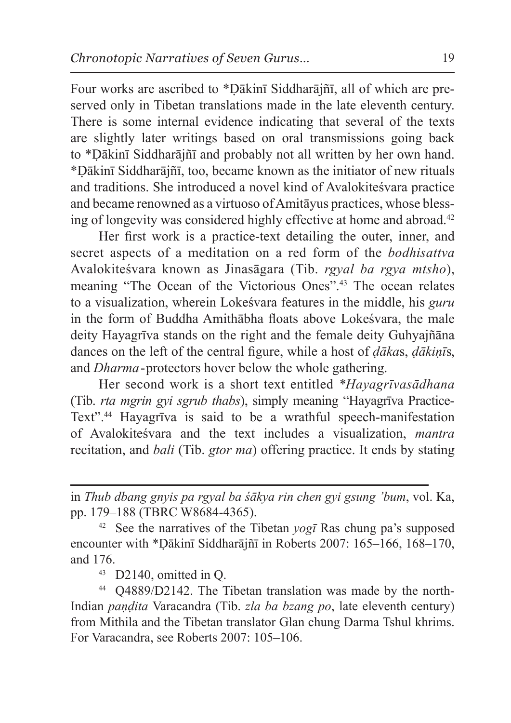Four works are ascribed to \*Ḍākinī Siddharājñī, all of which are preserved only in Tibetan translations made in the late eleventh century. There is some internal evidence indicating that several of the texts are slightly later writings based on oral transmissions going back to \*Ḍākinī Siddharājñī and probably not all written by her own hand. \*Ḍākinī Siddharājñī, too, became known as the initiator of new rituals and traditions. She introduced a novel kind of Avalokiteśvara practice and became renowned as a virtuoso of Amitāyus practices, whose blessing of longevity was considered highly effective at home and abroad.<sup>42</sup>

Her first work is a practice-text detailing the outer, inner, and secret aspects of a meditation on a red form of the *bodhisattva*  Avalokiteśvara known as Jinasāgara (Tib. *rgyal ba rgya mtsho*), meaning "The Ocean of the Victorious Ones".43 The ocean relates to a visualization, wherein Lokeśvara features in the middle, his *guru* in the form of Buddha Amithābha floats above Lokeśvara, the male deity Hayagrīva stands on the right and the female deity Guhyajñāna dances on the left of the central figure, while a host of *ḍāka*s, *ḍākiṇī*s, and *Dharma*-protectors hover below the whole gathering.

Her second work is a short text entitled *\*Hayagrīvasādhana* (Tib. *rta mgrin gyi sgrub thabs*), simply meaning "Hayagrīva Practice-Text".<sup>44</sup> Hayagrīva is said to be a wrathful speech-manifestation of Avalokiteśvara and the text includes a visualization, *mantra* recitation, and *bali* (Tib. *gtor ma*) offering practice. It ends by stating

in *Thub dbang gnyis pa rgyal ba śākya rin chen gyi gsung 'bum*, vol. Ka, pp. 179–188 (TBRC W8684-4365).

<sup>42</sup> See the narratives of the Tibetan *yogī* Ras chung pa's supposed encounter with \*Ḍākinī Siddharājñī in Roberts 2007: 165–166, 168–170, and 176.  $\frac{43}{12}$  D2140, omitted in Q.

<sup>44</sup> Q4889/D2142. The Tibetan translation was made by the north-Indian *paṇḍita* Varacandra (Tib. *zla ba bzang po*, late eleventh century) from Mithila and the Tibetan translator Glan chung Darma Tshul khrims. For Varacandra, see Roberts 2007: 105–106.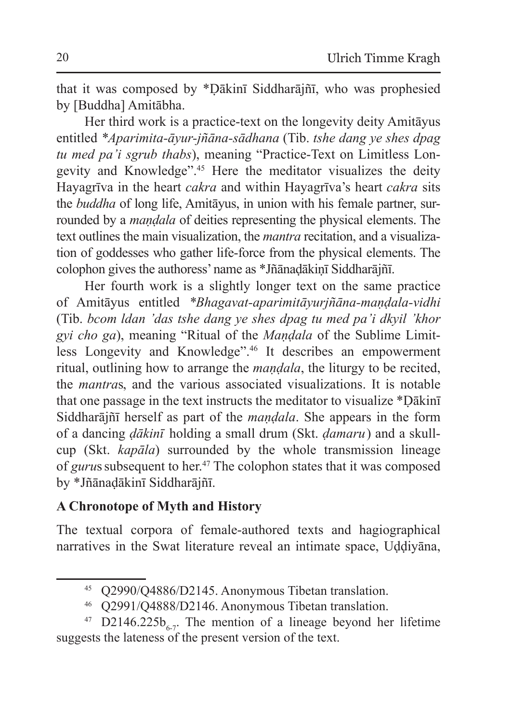that it was composed by \*Ḍākinī Siddharājñī, who was prophesied by [Buddha] Amitābha.

Her third work is a practice-text on the longevity deity Amitāyus entitled *\*Aparimita-āyur-jñāna-sādhana* (Tib. *tshe dang ye shes dpag tu med pa'i sgrub thabs*), meaning "Practice-Text on Limitless Longevity and Knowledge".<sup>45</sup> Here the meditator visualizes the deity Hayagrīva in the heart *cakra* and within Hayagrīva's heart *cakra* sits the *buddha* of long life, Amitāyus, in union with his female partner, surrounded by a *maṇḍala* of deities representing the physical elements. The text outlines the main visualization, the *mantra* recitation, and a visualization of goddesses who gather life-force from the physical elements. The colophon gives the authoress' name as \*Jñānaḍākiṇī Siddharājñī.

Her fourth work is a slightly longer text on the same practice of Amitāyus entitled *\*Bhagavat-aparimitāyurjñāna-maṇḍala-vidhi* (Tib. *bcom ldan 'das tshe dang ye shes dpag tu med pa'i dkyil 'khor gyi cho ga*), meaning "Ritual of the *Maṇḍala* of the Sublime Limitless Longevity and Knowledge".46 It describes an empowerment ritual, outlining how to arrange the *maṇḍala*, the liturgy to be recited, the *mantra*s, and the various associated visualizations. It is notable that one passage in the text instructs the meditator to visualize \*Ḍākinī Siddharājñī herself as part of the *maṇḍala*. She appears in the form of a dancing *ḍākinī* holding a small drum (Skt. *ḍamaru*) and a skullcup (Skt. *kapāla*) surrounded by the whole transmission lineage of *guru*ssubsequent to her.47 The colophon states that it was composed by \*Jñānaḍākinī Siddharājñī.

#### **A Chronotope of Myth and History**

The textual corpora of female-authored texts and hagiographical narratives in the Swat literature reveal an intimate space, Uḍḍiyāna,

<sup>45</sup> Q2990/Q4886/D2145. Anonymous Tibetan translation.

<sup>46</sup> Q2991/Q4888/D2146. Anonymous Tibetan translation.

<sup>&</sup>lt;sup>47</sup> D2146.225b<sub>6-7</sub>. The mention of a lineage beyond her lifetime suggests the lateness of the present version of the text.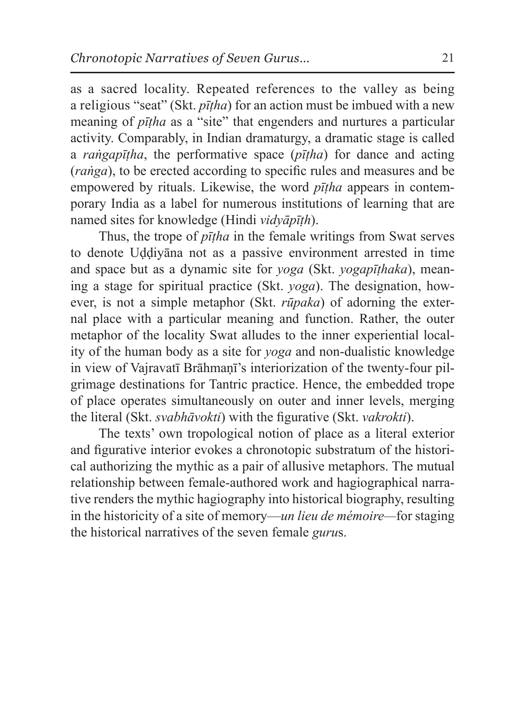as a sacred locality. Repeated references to the valley as being a religious "seat" (Skt. *pīṭha*) for an action must be imbued with a new meaning of *pīṭha* as a "site" that engenders and nurtures a particular activity. Comparably, in Indian dramaturgy, a dramatic stage is called a *raṅgapīṭha*, the performative space (*pīṭha*) for dance and acting (*raṅga*), to be erected according to specific rules and measures and be empowered by rituals. Likewise, the word *pīṭha* appears in contemporary India as a label for numerous institutions of learning that are named sites for knowledge (Hindi *vidyāpīṭh*).

Thus, the trope of *pīṭha* in the female writings from Swat serves to denote Uḍḍiyāna not as a passive environment arrested in time and space but as a dynamic site for *yoga* (Skt. *yogapīṭhaka*), meaning a stage for spiritual practice (Skt. *yoga*). The designation, however, is not a simple metaphor (Skt. *rūpaka*) of adorning the external place with a particular meaning and function. Rather, the outer metaphor of the locality Swat alludes to the inner experiential locality of the human body as a site for *yoga* and non-dualistic knowledge in view of Vajravatī Brāhmaṇī's interiorization of the twenty-four pilgrimage destinations for Tantric practice. Hence, the embedded trope of place operates simultaneously on outer and inner levels, merging the literal (Skt. *svabhāvokti*) with the figurative (Skt. *vakrokti*).

The texts' own tropological notion of place as a literal exterior and figurative interior evokes a chronotopic substratum of the historical authorizing the mythic as a pair of allusive metaphors. The mutual relationship between female-authored work and hagiographical narrative renders the mythic hagiography into historical biography, resulting in the historicity of a site of memory—*un lieu de mémoire—*for staging the historical narratives of the seven female *guru*s.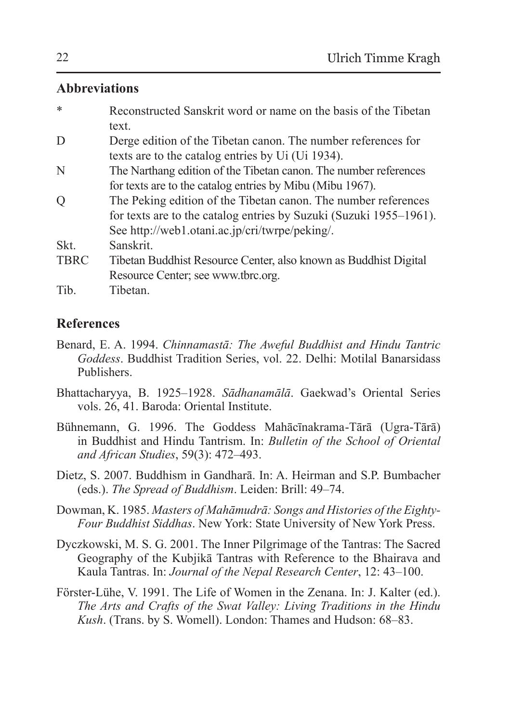#### **Abbreviations**

| $\ast$      | Reconstructed Sanskrit word or name on the basis of the Tibetan    |
|-------------|--------------------------------------------------------------------|
|             | text.                                                              |
| D           | Derge edition of the Tibetan canon. The number references for      |
|             | texts are to the catalog entries by Ui (Ui 1934).                  |
| N           | The Narthang edition of the Tibetan canon. The number references   |
|             | for texts are to the catalog entries by Mibu (Mibu 1967).          |
| Q           | The Peking edition of the Tibetan canon. The number references     |
|             | for texts are to the catalog entries by Suzuki (Suzuki 1955–1961). |
|             | See http://web1.otani.ac.jp/cri/twrpe/peking/.                     |
| Skt.        | <b>Sanskrit</b>                                                    |
| <b>TBRC</b> | Tibetan Buddhist Resource Center, also known as Buddhist Digital   |
|             | Resource Center; see www.tbrc.org.                                 |
| Tib.        | Tibetan.                                                           |

### **References**

- Benard, E. A. 1994. *Chinnamastā: The Aweful Buddhist and Hindu Tantric Goddess*. Buddhist Tradition Series, vol. 22. Delhi: Motilal Banarsidass Publishers.
- Bhattacharyya, B. 1925–1928. *Sādhanamālā*. Gaekwad's Oriental Series vols. 26, 41. Baroda: Oriental Institute.
- Bühnemann, G. 1996. The Goddess Mahācīnakrama-Tārā (Ugra-Tārā) in Buddhist and Hindu Tantrism. In: *Bulletin of the School of Oriental and African Studies*, 59(3): 472–493.
- Dietz, S. 2007. Buddhism in Gandharā. In: A. Heirman and S.P. Bumbacher (eds.). *The Spread of Buddhism*. Leiden: Brill: 49–74.
- Dowman, K. 1985. *Masters of Mahāmudrā: Songs and Histories of the Eighty-Four Buddhist Siddhas*. New York: State University of New York Press.
- Dyczkowski, M. S. G. 2001. The Inner Pilgrimage of the Tantras: The Sacred Geography of the Kubjikā Tantras with Reference to the Bhairava and Kaula Tantras. In: *Journal of the Nepal Research Center*, 12: 43–100.
- Förster-Lühe, V. 1991. The Life of Women in the Zenana. In: J. Kalter (ed.). *The Arts and Crafts of the Swat Valley: Living Traditions in the Hindu Kush*. (Trans. by S. Womell). London: Thames and Hudson: 68–83.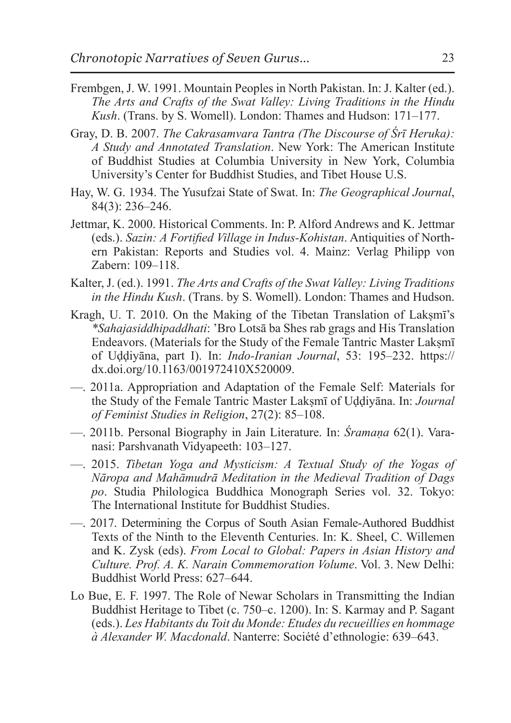- Frembgen, J. W. 1991. Mountain Peoples in North Pakistan. In: J. Kalter (ed.). *The Arts and Crafts of the Swat Valley: Living Traditions in the Hindu Kush*. (Trans. by S. Womell). London: Thames and Hudson: 171–177.
- Gray, D. B. 2007. *The Cakrasamvara Tantra (The Discourse of Śrī Heruka): A Study and Annotated Translation*. New York: The American Institute of Buddhist Studies at Columbia University in New York, Columbia University's Center for Buddhist Studies, and Tibet House U.S.
- Hay, W. G. 1934. The Yusufzai State of Swat. In: *The Geographical Journal*, 84(3): 236–246.
- Jettmar, K. 2000. Historical Comments. In: P. Alford Andrews and K. Jettmar (eds.). *Sazin: A Fortified Village in Indus-Kohistan*. Antiquities of Northern Pakistan: Reports and Studies vol. 4. Mainz: Verlag Philipp von Zabern: 109–118.
- Kalter, J. (ed.). 1991. *The Arts and Crafts of the Swat Valley: Living Traditions in the Hindu Kush*. (Trans. by S. Womell). London: Thames and Hudson.
- Kragh, U. T. 2010. On the Making of the Tibetan Translation of Laksmī's *\*Sahajasiddhipaddhati*: 'Bro Lotsā ba Shes rab grags and His Translation Endeavors. (Materials for the Study of the Female Tantric Master Laksmī of Uḍḍiyāna, part I). In: *Indo-Iranian Journal*, 53: 195–232. https:// dx.doi.org/10.1163/001972410X520009.
- —. 2011a. Appropriation and Adaptation of the Female Self: Materials for the Study of the Female Tantric Master Lakṣmī of Uḍḍiyāna. In: *Journal of Feminist Studies in Religion*, 27(2): 85–108.
- —. 2011b. Personal Biography in Jain Literature. In: *Śramaṇa* 62(1). Varanasi: Parshvanath Vidyapeeth: 103–127.
- —. 2015. *Tibetan Yoga and Mysticism: A Textual Study of the Yogas of Nāropa and Mahāmudrā Meditation in the Medieval Tradition of Dags po*. Studia Philologica Buddhica Monograph Series vol. 32. Tokyo: The International Institute for Buddhist Studies.
- —. 2017. Determining the Corpus of South Asian Female-Authored Buddhist Texts of the Ninth to the Eleventh Centuries. In: K. Sheel, C. Willemen and K. Zysk (eds). *From Local to Global: Papers in Asian History and Culture. Prof. A. K. Narain Commemoration Volume*. Vol. 3. New Delhi: Buddhist World Press: 627–644.
- Lo Bue, E. F. 1997. The Role of Newar Scholars in Transmitting the Indian Buddhist Heritage to Tibet (c. 750–c. 1200). In: S. Karmay and P. Sagant (eds.). *Les Habitants du Toit du Monde: Etudes du recueillies en hommage à Alexander W. Macdonald*. Nanterre: Société d'ethnologie: 639–643.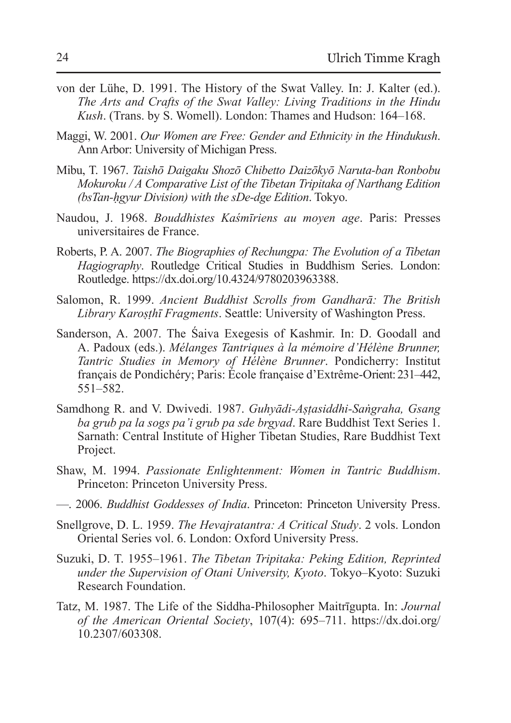- von der Lühe, D. 1991. The History of the Swat Valley. In: J. Kalter (ed.). *The Arts and Crafts of the Swat Valley: Living Traditions in the Hindu Kush*. (Trans. by S. Womell). London: Thames and Hudson: 164–168.
- Maggi, W. 2001. *Our Women are Free: Gender and Ethnicity in the Hindukush*. Ann Arbor: University of Michigan Press.
- Mibu, T. 1967. *Taishō Daigaku Shozō Chibetto Daizōkyō Naruta-ban Ronbobu Mokuroku / A Comparative List of the Tibetan Tripitaka of Narthang Edition (bsTan-ḥgyur Division) with the sDe-dge Edition*. Tokyo.
- Naudou, J. 1968. *Bouddhistes Kaśmīriens au moyen age*. Paris: Presses universitaires de France.
- Roberts, P. A. 2007. *The Biographies of Rechungpa: The Evolution of a Tibetan Hagiography*. Routledge Critical Studies in Buddhism Series. London: Routledge. https://dx.doi.org/10.4324/9780203963388.
- Salomon, R. 1999. *Ancient Buddhist Scrolls from Gandharā: The British Library Karoṣṭhī Fragments*. Seattle: University of Washington Press.
- Sanderson, A. 2007. The Śaiva Exegesis of Kashmir. In: D. Goodall and A. Padoux (eds.). *Mélanges Tantriques à la mémoire d'Hélène Brunner, Tantric Studies in Memory of Hélène Brunner*. Pondicherry: Institut français de Pondichéry; Paris: École française d'Extrême-Orient: 231–442, 551–582.
- Samdhong R. and V. Dwivedi. 1987. *Guhyādi-Aṣṭasiddhi-Saṅgraha, Gsang ba grub pa la sogs pa'i grub pa sde brgyad*. Rare Buddhist Text Series 1. Sarnath: Central Institute of Higher Tibetan Studies, Rare Buddhist Text Project.
- Shaw, M. 1994. *Passionate Enlightenment: Women in Tantric Buddhism*. Princeton: Princeton University Press.
- —. 2006. *Buddhist Goddesses of India*. Princeton: Princeton University Press.
- Snellgrove, D. L. 1959. *The Hevajratantra: A Critical Study*. 2 vols. London Oriental Series vol. 6. London: Oxford University Press.
- Suzuki, D. T. 1955–1961. *The Tibetan Tripitaka: Peking Edition, Reprinted under the Supervision of Otani University, Kyoto*. Tokyo–Kyoto: Suzuki Research Foundation.
- Tatz, M. 1987. The Life of the Siddha-Philosopher Maitrīgupta. In: *Journal of the American Oriental Society*, 107(4): 695–711. https://dx.doi.org/ 10.2307/603308.